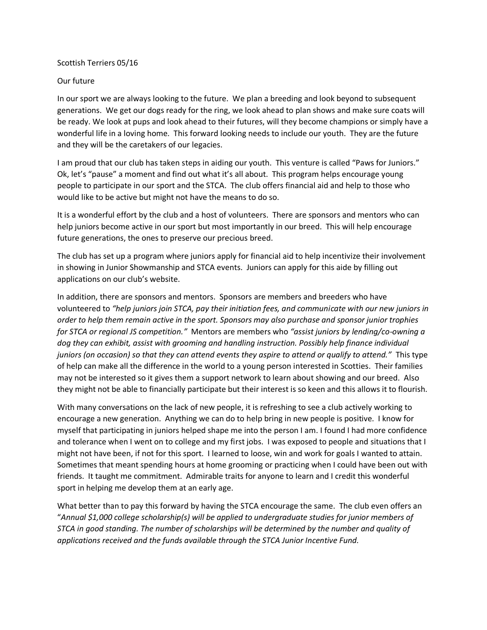## Scottish Terriers 05/16

## Our future

In our sport we are always looking to the future. We plan a breeding and look beyond to subsequent generations. We get our dogs ready for the ring, we look ahead to plan shows and make sure coats will be ready. We look at pups and look ahead to their futures, will they become champions or simply have a wonderful life in a loving home. This forward looking needs to include our youth. They are the future and they will be the caretakers of our legacies.

I am proud that our club has taken steps in aiding our youth. This venture is called "Paws for Juniors." Ok, let's "pause" a moment and find out what it's all about. This program helps encourage young people to participate in our sport and the STCA. The club offers financial aid and help to those who would like to be active but might not have the means to do so.

It is a wonderful effort by the club and a host of volunteers. There are sponsors and mentors who can help juniors become active in our sport but most importantly in our breed. This will help encourage future generations, the ones to preserve our precious breed.

The club has set up a program where juniors apply for financial aid to help incentivize their involvement in showing in Junior Showmanship and STCA events. Juniors can apply for this aide by filling out applications on our club's website.

In addition, there are sponsors and mentors. Sponsors are members and breeders who have volunteered to *"help juniors join STCA, pay their initiation fees, and communicate with our new juniors in order to help them remain active in the sport. Sponsors may also purchase and sponsor junior trophies for STCA or regional JS competition."* Mentors are members who *"assist juniors by lending/co-owning a dog they can exhibit, assist with grooming and handling instruction. Possibly help finance individual juniors (on occasion) so that they can attend events they aspire to attend or qualify to attend."* This type of help can make all the difference in the world to a young person interested in Scotties. Their families may not be interested so it gives them a support network to learn about showing and our breed. Also they might not be able to financially participate but their interest is so keen and this allows it to flourish.

With many conversations on the lack of new people, it is refreshing to see a club actively working to encourage a new generation. Anything we can do to help bring in new people is positive. I know for myself that participating in juniors helped shape me into the person I am. I found I had more confidence and tolerance when I went on to college and my first jobs. I was exposed to people and situations that I might not have been, if not for this sport. I learned to loose, win and work for goals I wanted to attain. Sometimes that meant spending hours at home grooming or practicing when I could have been out with friends. It taught me commitment. Admirable traits for anyone to learn and I credit this wonderful sport in helping me develop them at an early age.

What better than to pay this forward by having the STCA encourage the same. The club even offers an "*Annual \$1,000 college scholarship(s) will be applied to undergraduate studies for junior members of STCA in good standing. The number of scholarships will be determined by the number and quality of applications received and the funds available through the STCA Junior Incentive Fund.*